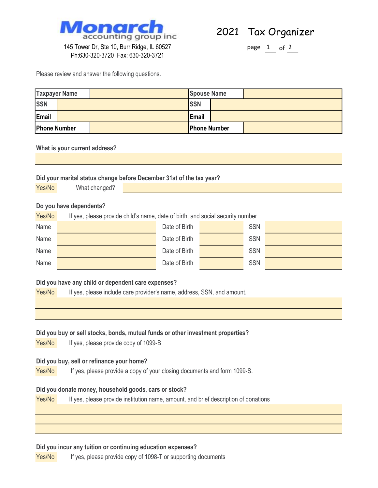

2021 Tax Organizer

page  $1$  of  $2$ 

145 Tower Dr, Ste 10, Burr Ridge, IL 60527 Ph:630-320-3720 Fax: 630-320-3721

Please review and answer the following questions.

| <b>Taxpayer Name</b> |  | <b>Spouse Name</b> |                     |  |  |
|----------------------|--|--------------------|---------------------|--|--|
| <b>SSN</b>           |  |                    | <b>SSN</b>          |  |  |
| Email                |  |                    | Email               |  |  |
| Phone Number         |  |                    | <b>Phone Number</b> |  |  |

## What is your current address?

Yes/No

| Did your marital status change before December 31st of the tax year?               |                                                                                     |               |  |            |  |  |  |  |
|------------------------------------------------------------------------------------|-------------------------------------------------------------------------------------|---------------|--|------------|--|--|--|--|
| Yes/No                                                                             | What changed?                                                                       |               |  |            |  |  |  |  |
|                                                                                    |                                                                                     |               |  |            |  |  |  |  |
| Do you have dependents?                                                            |                                                                                     |               |  |            |  |  |  |  |
| Yes/No                                                                             | If yes, please provide child's name, date of birth, and social security number      |               |  |            |  |  |  |  |
| Name                                                                               |                                                                                     | Date of Birth |  | <b>SSN</b> |  |  |  |  |
| Name                                                                               |                                                                                     | Date of Birth |  | <b>SSN</b> |  |  |  |  |
| Name                                                                               |                                                                                     | Date of Birth |  | <b>SSN</b> |  |  |  |  |
| Name                                                                               |                                                                                     | Date of Birth |  | <b>SSN</b> |  |  |  |  |
|                                                                                    |                                                                                     |               |  |            |  |  |  |  |
|                                                                                    | Did you have any child or dependent care expenses?                                  |               |  |            |  |  |  |  |
| Yes/No                                                                             | If yes, please include care provider's name, address, SSN, and amount.              |               |  |            |  |  |  |  |
|                                                                                    |                                                                                     |               |  |            |  |  |  |  |
|                                                                                    |                                                                                     |               |  |            |  |  |  |  |
| Did you buy or sell stocks, bonds, mutual funds or other investment properties?    |                                                                                     |               |  |            |  |  |  |  |
| Yes/No                                                                             | If yes, please provide copy of 1099-B                                               |               |  |            |  |  |  |  |
|                                                                                    |                                                                                     |               |  |            |  |  |  |  |
| Did you buy, sell or refinance your home?                                          |                                                                                     |               |  |            |  |  |  |  |
| Yes/No<br>If yes, please provide a copy of your closing documents and form 1099-S. |                                                                                     |               |  |            |  |  |  |  |
| Did you donate money, household goods, cars or stock?                              |                                                                                     |               |  |            |  |  |  |  |
| Yes/No                                                                             | If yes, please provide institution name, amount, and brief description of donations |               |  |            |  |  |  |  |
|                                                                                    |                                                                                     |               |  |            |  |  |  |  |
|                                                                                    |                                                                                     |               |  |            |  |  |  |  |
|                                                                                    |                                                                                     |               |  |            |  |  |  |  |
| Did you incur any tuition or continuing education expenses?                        |                                                                                     |               |  |            |  |  |  |  |

If yes, please provide copy of 1098-T or supporting documents